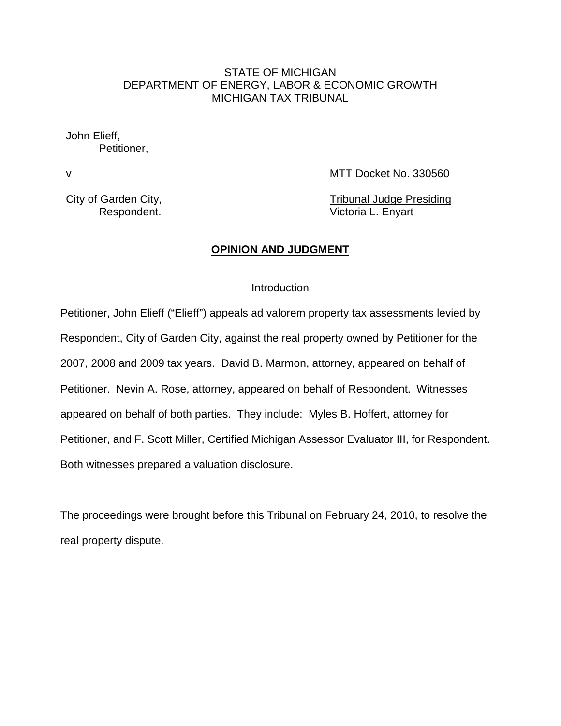### STATE OF MICHIGAN DEPARTMENT OF ENERGY, LABOR & ECONOMIC GROWTH MICHIGAN TAX TRIBUNAL

John Elieff, Petitioner,

v 1999 and 1999 and 1999 and 1999 and 1999 and 1999 and 1999 and 1999 and 1999 and 1999 and 1999 and 1999 and 1999 and 1999 and 1999 and 1999 and 1999 and 1999 and 1999 and 1999 and 1999 and 1999 and 1999 and 1999 and 1999

City of Garden City, Tribunal Judge Presiding Respondent. **Victoria L. Enyart** 

#### **OPINION AND JUDGMENT**

#### Introduction

Petitioner, John Elieff ("Elieff") appeals ad valorem property tax assessments levied by Respondent, City of Garden City, against the real property owned by Petitioner for the 2007, 2008 and 2009 tax years. David B. Marmon, attorney, appeared on behalf of Petitioner. Nevin A. Rose, attorney, appeared on behalf of Respondent. Witnesses appeared on behalf of both parties. They include: Myles B. Hoffert, attorney for Petitioner, and F. Scott Miller, Certified Michigan Assessor Evaluator III, for Respondent. Both witnesses prepared a valuation disclosure.

The proceedings were brought before this Tribunal on February 24, 2010, to resolve the real property dispute.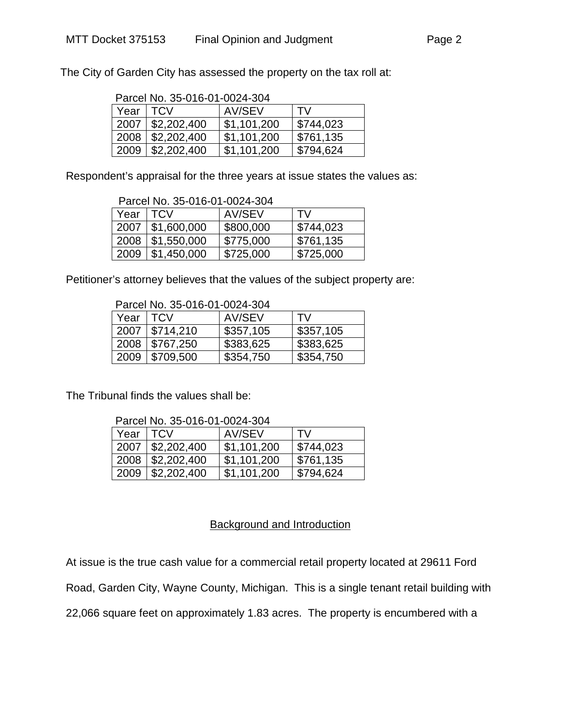The City of Garden City has assessed the property on the tax roll at:

| Parcel No. 35-016-01-0024-304 |                           |             |           |  |
|-------------------------------|---------------------------|-------------|-----------|--|
| Year   TCV                    |                           | AV/SEV      | TV        |  |
|                               | 2007   \$2,202,400        | \$1,101,200 | \$744,023 |  |
| 2008                          | $\frac{1}{2}$ \$2,202,400 | \$1,101,200 | \$761,135 |  |
| 2009                          | $\frac{1}{2}$ \$2,202,400 | \$1,101,200 | \$794,624 |  |

Parcel No. 35-016-01-0024-304

Respondent's appraisal for the three years at issue states the values as:

| Parcel No. 35-016-01-0024-304 |                           |           |           |  |
|-------------------------------|---------------------------|-----------|-----------|--|
| Year                          | I TCV                     | AV/SEV    | TV        |  |
| 2007                          | $\frac{1}{2}$ \$1,600,000 | \$800,000 | \$744,023 |  |
| 2008                          | \$1,550,000               | \$775,000 | \$761,135 |  |
| 2009                          | $\frac{1}{2}$ \$1,450,000 | \$725,000 | \$725,000 |  |

Petitioner's attorney believes that the values of the subject property are:

Parcel No. 35-016-01-0024-304

| Year   TCV |                         | AV/SEV    | TV.       |
|------------|-------------------------|-----------|-----------|
| 2007       | \$714,210               | \$357,105 | \$357,105 |
| 2008       | $\frac{1}{2}$ \$767,250 | \$383,625 | \$383,625 |
| 2009       | \$709,500               | \$354,750 | \$354,750 |

The Tribunal finds the values shall be:

| Parcel No. 35-016-01-0024-304 |                    |             |           |  |  |
|-------------------------------|--------------------|-------------|-----------|--|--|
| Year   TCV                    |                    | AV/SEV      | TV        |  |  |
|                               | 2007   \$2,202,400 | \$1,101,200 | \$744,023 |  |  |
|                               | 2008   \$2,202,400 | \$1,101,200 | \$761.135 |  |  |

2009 \$2,202,400 \$1,101,200 \$794,624

## Background and Introduction

At issue is the true cash value for a commercial retail property located at 29611 Ford

Road, Garden City, Wayne County, Michigan. This is a single tenant retail building with

22,066 square feet on approximately 1.83 acres. The property is encumbered with a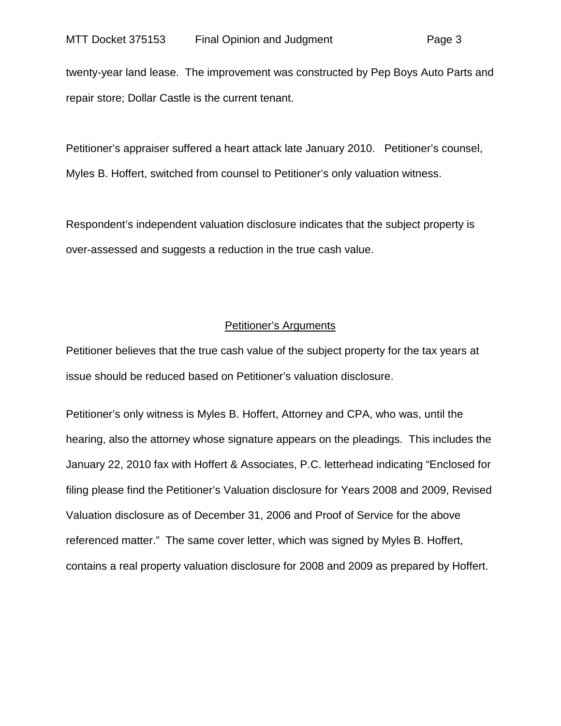twenty-year land lease. The improvement was constructed by Pep Boys Auto Parts and repair store; Dollar Castle is the current tenant.

Petitioner's appraiser suffered a heart attack late January 2010. Petitioner's counsel, Myles B. Hoffert, switched from counsel to Petitioner's only valuation witness.

Respondent's independent valuation disclosure indicates that the subject property is over-assessed and suggests a reduction in the true cash value.

#### Petitioner's Arguments

Petitioner believes that the true cash value of the subject property for the tax years at issue should be reduced based on Petitioner's valuation disclosure.

Petitioner's only witness is Myles B. Hoffert, Attorney and CPA, who was, until the hearing, also the attorney whose signature appears on the pleadings. This includes the January 22, 2010 fax with Hoffert & Associates, P.C. letterhead indicating "Enclosed for filing please find the Petitioner's Valuation disclosure for Years 2008 and 2009, Revised Valuation disclosure as of December 31, 2006 and Proof of Service for the above referenced matter." The same cover letter, which was signed by Myles B. Hoffert, contains a real property valuation disclosure for 2008 and 2009 as prepared by Hoffert.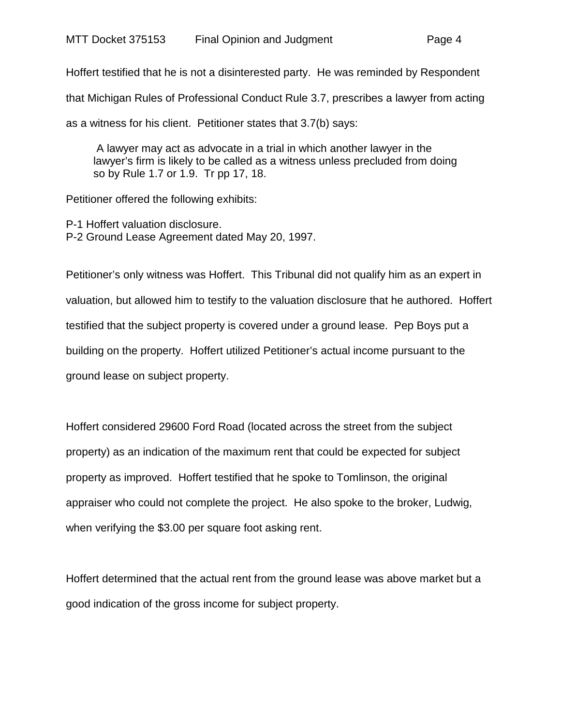Hoffert testified that he is not a disinterested party. He was reminded by Respondent that Michigan Rules of Professional Conduct Rule 3.7, prescribes a lawyer from acting as a witness for his client. Petitioner states that 3.7(b) says:

A lawyer may act as advocate in a trial in which another lawyer in the lawyer's firm is likely to be called as a witness unless precluded from doing so by Rule 1.7 or 1.9. Tr pp 17, 18.

Petitioner offered the following exhibits:

P-1 Hoffert valuation disclosure. P-2 Ground Lease Agreement dated May 20, 1997.

Petitioner's only witness was Hoffert. This Tribunal did not qualify him as an expert in valuation, but allowed him to testify to the valuation disclosure that he authored. Hoffert testified that the subject property is covered under a ground lease. Pep Boys put a building on the property. Hoffert utilized Petitioner's actual income pursuant to the ground lease on subject property.

Hoffert considered 29600 Ford Road (located across the street from the subject property) as an indication of the maximum rent that could be expected for subject property as improved. Hoffert testified that he spoke to Tomlinson, the original appraiser who could not complete the project. He also spoke to the broker, Ludwig, when verifying the \$3.00 per square foot asking rent.

Hoffert determined that the actual rent from the ground lease was above market but a good indication of the gross income for subject property.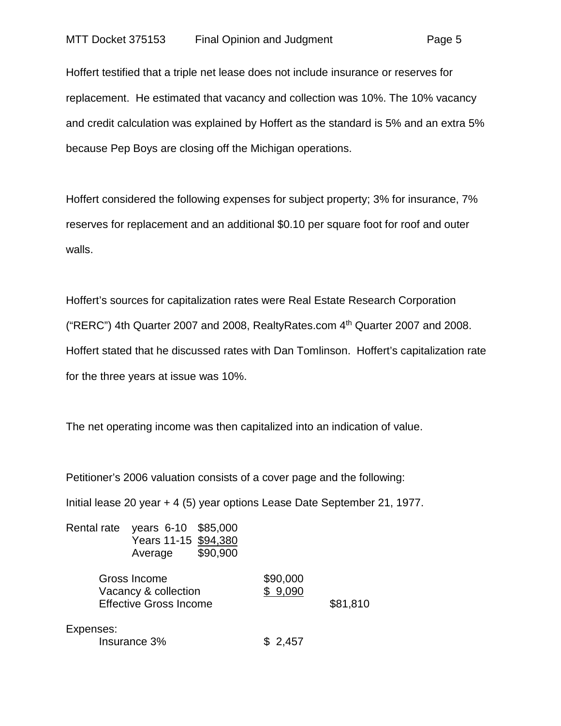Hoffert testified that a triple net lease does not include insurance or reserves for replacement. He estimated that vacancy and collection was 10%. The 10% vacancy and credit calculation was explained by Hoffert as the standard is 5% and an extra 5% because Pep Boys are closing off the Michigan operations.

Hoffert considered the following expenses for subject property; 3% for insurance, 7% reserves for replacement and an additional \$0.10 per square foot for roof and outer walls.

Hoffert's sources for capitalization rates were Real Estate Research Corporation ("RERC") 4th Quarter 2007 and 2008, RealtyRates.com 4th Quarter 2007 and 2008. Hoffert stated that he discussed rates with Dan Tomlinson. Hoffert's capitalization rate for the three years at issue was 10%.

The net operating income was then capitalized into an indication of value.

Petitioner's 2006 valuation consists of a cover page and the following:

Initial lease 20 year + 4 (5) year options Lease Date September 21, 1977.

| Rental rate | \$85,000<br>years 6-10<br>Years 11-15 \$94,380<br>\$90,900<br>Average |                     |          |
|-------------|-----------------------------------------------------------------------|---------------------|----------|
|             | Gross Income<br>Vacancy & collection<br><b>Effective Gross Income</b> | \$90,000<br>\$9,090 | \$81,810 |
| Expenses:   | Insurance 3%                                                          | 2,457               |          |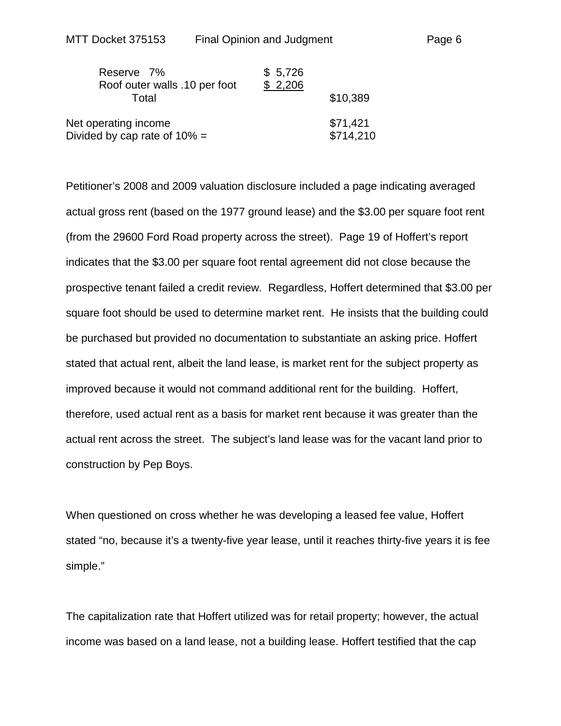| Reserve 7%                                              | \$5,726 |                       |
|---------------------------------------------------------|---------|-----------------------|
| Roof outer walls .10 per foot<br>Total                  | \$2,206 | \$10,389              |
| Net operating income<br>Divided by cap rate of $10\%$ = |         | \$71,421<br>\$714,210 |

Petitioner's 2008 and 2009 valuation disclosure included a page indicating averaged actual gross rent (based on the 1977 ground lease) and the \$3.00 per square foot rent (from the 29600 Ford Road property across the street). Page 19 of Hoffert's report indicates that the \$3.00 per square foot rental agreement did not close because the prospective tenant failed a credit review. Regardless, Hoffert determined that \$3.00 per square foot should be used to determine market rent. He insists that the building could be purchased but provided no documentation to substantiate an asking price. Hoffert stated that actual rent, albeit the land lease, is market rent for the subject property as improved because it would not command additional rent for the building. Hoffert, therefore, used actual rent as a basis for market rent because it was greater than the actual rent across the street. The subject's land lease was for the vacant land prior to construction by Pep Boys.

When questioned on cross whether he was developing a leased fee value, Hoffert stated "no, because it's a twenty-five year lease, until it reaches thirty-five years it is fee simple."

The capitalization rate that Hoffert utilized was for retail property; however, the actual income was based on a land lease, not a building lease. Hoffert testified that the cap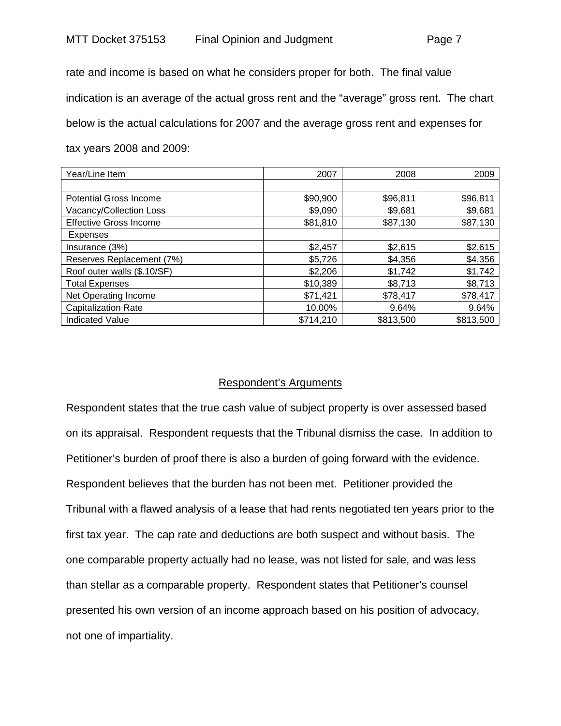rate and income is based on what he considers proper for both. The final value indication is an average of the actual gross rent and the "average" gross rent. The chart below is the actual calculations for 2007 and the average gross rent and expenses for tax years 2008 and 2009:

| Year/Line Item                | 2007      | 2008      | 2009      |
|-------------------------------|-----------|-----------|-----------|
|                               |           |           |           |
| <b>Potential Gross Income</b> | \$90,900  | \$96,811  | \$96,811  |
| Vacancy/Collection Loss       | \$9,090   | \$9,681   | \$9,681   |
| <b>Effective Gross Income</b> | \$81,810  | \$87,130  | \$87,130  |
| Expenses                      |           |           |           |
| Insurance (3%)                | \$2,457   | \$2,615   | \$2,615   |
| Reserves Replacement (7%)     | \$5,726   | \$4,356   | \$4,356   |
| Roof outer walls (\$.10/SF)   | \$2,206   | \$1,742   | \$1,742   |
| <b>Total Expenses</b>         | \$10,389  | \$8,713   | \$8,713   |
| Net Operating Income          | \$71,421  | \$78,417  | \$78,417  |
| <b>Capitalization Rate</b>    | 10.00%    | 9.64%     | 9.64%     |
| <b>Indicated Value</b>        | \$714,210 | \$813,500 | \$813,500 |

## Respondent's Arguments

Respondent states that the true cash value of subject property is over assessed based on its appraisal. Respondent requests that the Tribunal dismiss the case. In addition to Petitioner's burden of proof there is also a burden of going forward with the evidence. Respondent believes that the burden has not been met. Petitioner provided the Tribunal with a flawed analysis of a lease that had rents negotiated ten years prior to the first tax year. The cap rate and deductions are both suspect and without basis. The one comparable property actually had no lease, was not listed for sale, and was less than stellar as a comparable property. Respondent states that Petitioner's counsel presented his own version of an income approach based on his position of advocacy, not one of impartiality.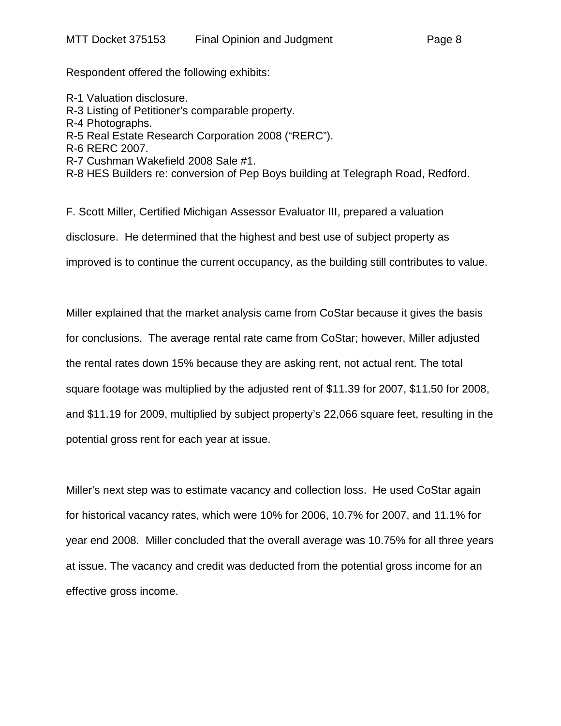Respondent offered the following exhibits:

R-1 Valuation disclosure. R-3 Listing of Petitioner's comparable property. R-4 Photographs. R-5 Real Estate Research Corporation 2008 ("RERC"). R-6 RERC 2007. R-7 Cushman Wakefield 2008 Sale #1. R-8 HES Builders re: conversion of Pep Boys building at Telegraph Road, Redford.

F. Scott Miller, Certified Michigan Assessor Evaluator III, prepared a valuation disclosure. He determined that the highest and best use of subject property as improved is to continue the current occupancy, as the building still contributes to value.

Miller explained that the market analysis came from CoStar because it gives the basis for conclusions. The average rental rate came from CoStar; however, Miller adjusted the rental rates down 15% because they are asking rent, not actual rent. The total square footage was multiplied by the adjusted rent of \$11.39 for 2007, \$11.50 for 2008, and \$11.19 for 2009, multiplied by subject property's 22,066 square feet, resulting in the potential gross rent for each year at issue.

Miller's next step was to estimate vacancy and collection loss. He used CoStar again for historical vacancy rates, which were 10% for 2006, 10.7% for 2007, and 11.1% for year end 2008. Miller concluded that the overall average was 10.75% for all three years at issue. The vacancy and credit was deducted from the potential gross income for an effective gross income.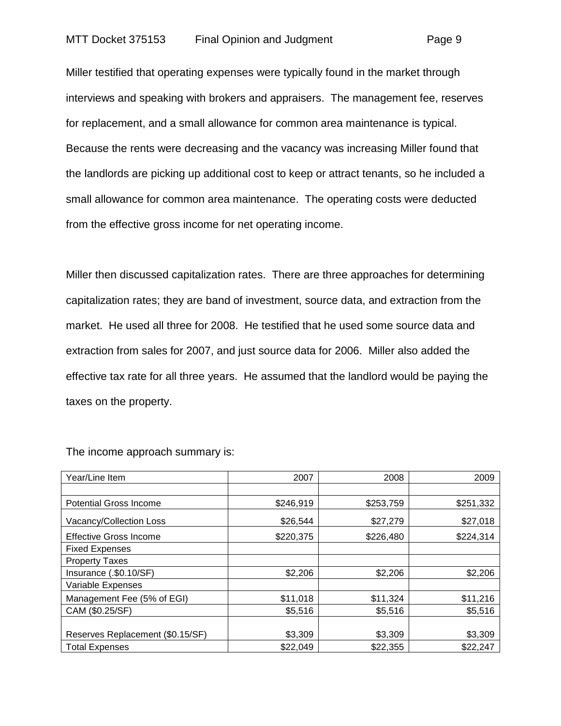Miller testified that operating expenses were typically found in the market through interviews and speaking with brokers and appraisers. The management fee, reserves for replacement, and a small allowance for common area maintenance is typical. Because the rents were decreasing and the vacancy was increasing Miller found that the landlords are picking up additional cost to keep or attract tenants, so he included a small allowance for common area maintenance. The operating costs were deducted from the effective gross income for net operating income.

Miller then discussed capitalization rates. There are three approaches for determining capitalization rates; they are band of investment, source data, and extraction from the market. He used all three for 2008. He testified that he used some source data and extraction from sales for 2007, and just source data for 2006. Miller also added the effective tax rate for all three years. He assumed that the landlord would be paying the taxes on the property.

| Year/Line Item                   | 2007      | 2008      | 2009      |
|----------------------------------|-----------|-----------|-----------|
|                                  |           |           |           |
| <b>Potential Gross Income</b>    | \$246,919 | \$253,759 | \$251,332 |
| Vacancy/Collection Loss          | \$26,544  | \$27,279  | \$27,018  |
| <b>Effective Gross Income</b>    | \$220,375 | \$226,480 | \$224,314 |
| <b>Fixed Expenses</b>            |           |           |           |
| <b>Property Taxes</b>            |           |           |           |
| Insurance (.\$0.10/SF)           | \$2,206   | \$2,206   | \$2,206   |
| Variable Expenses                |           |           |           |
| Management Fee (5% of EGI)       | \$11,018  | \$11,324  | \$11,216  |
| CAM (\$0.25/SF)                  | \$5,516   | \$5,516   | \$5,516   |
|                                  |           |           |           |
| Reserves Replacement (\$0.15/SF) | \$3,309   | \$3,309   | \$3,309   |
| <b>Total Expenses</b>            | \$22,049  | \$22,355  | \$22,247  |

The income approach summary is: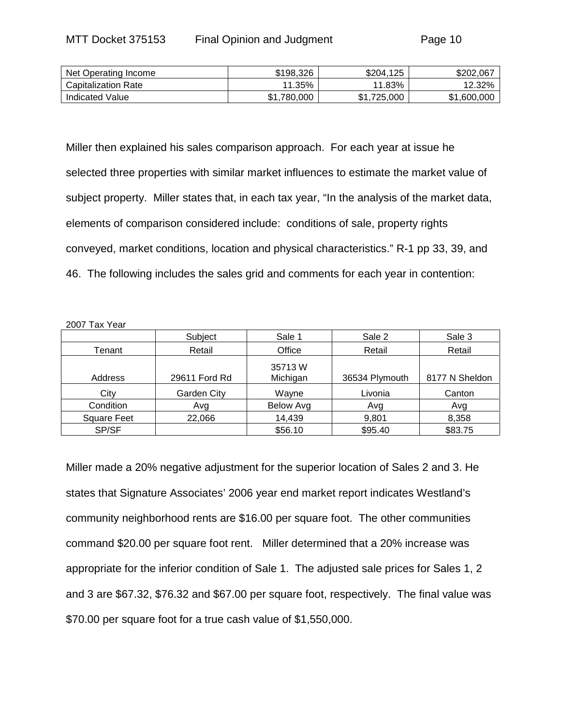| Net Operating Income | \$198.326   | \$204,125   | \$202,067   |
|----------------------|-------------|-------------|-------------|
| Capitalization Rate  | 11.35%      | 11.83%      | 12.32%      |
| Indicated Value      | \$1.780,000 | \$1.725,000 | \$1,600,000 |

Miller then explained his sales comparison approach. For each year at issue he selected three properties with similar market influences to estimate the market value of subject property. Miller states that, in each tax year, "In the analysis of the market data, elements of comparison considered include: conditions of sale, property rights conveyed, market conditions, location and physical characteristics." R-1 pp 33, 39, and 46. The following includes the sales grid and comments for each year in contention:

#### 2007 Tax Year

|                    | Subject       | Sale 1              | Sale 2         | Sale 3         |
|--------------------|---------------|---------------------|----------------|----------------|
| Tenant             | Retail        | Office              | Retail         | Retail         |
| Address            | 29611 Ford Rd | 35713 W<br>Michigan | 36534 Plymouth | 8177 N Sheldon |
| City               | Garden City   | Wayne               | Livonia        | Canton         |
| Condition          | Avg           | <b>Below Avg</b>    | Avg            | Avg            |
| <b>Square Feet</b> | 22,066        | 14,439              | 9,801          | 8,358          |
| SP/SF              |               | \$56.10             | \$95.40        | \$83.75        |

Miller made a 20% negative adjustment for the superior location of Sales 2 and 3. He states that Signature Associates' 2006 year end market report indicates Westland's community neighborhood rents are \$16.00 per square foot. The other communities command \$20.00 per square foot rent. Miller determined that a 20% increase was appropriate for the inferior condition of Sale 1. The adjusted sale prices for Sales 1, 2 and 3 are \$67.32, \$76.32 and \$67.00 per square foot, respectively. The final value was \$70.00 per square foot for a true cash value of \$1,550,000.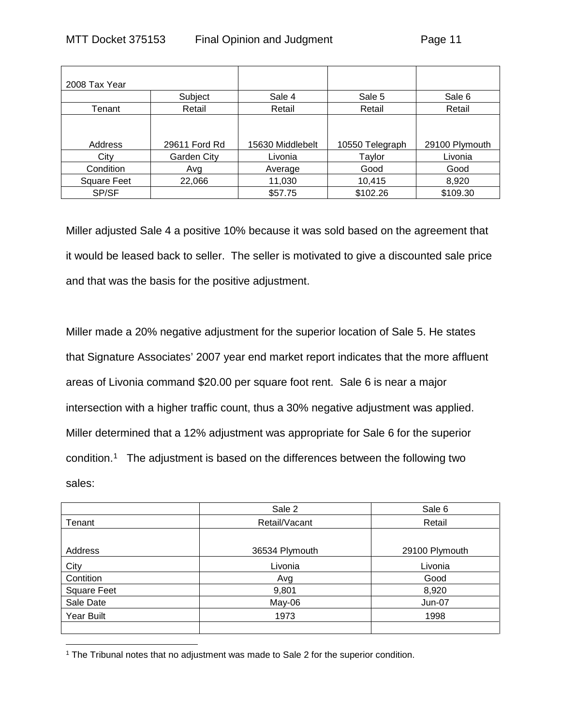| 2008 Tax Year      |               |                  |                 |                |
|--------------------|---------------|------------------|-----------------|----------------|
|                    | Subject       | Sale 4           | Sale 5          | Sale 6         |
| Tenant             | Retail        | Retail           | Retail          | Retail         |
| Address            | 29611 Ford Rd | 15630 Middlebelt | 10550 Telegraph | 29100 Plymouth |
| City               | Garden City   | Livonia          | Taylor          | Livonia        |
| Condition          | Avg           | Average          | Good            | Good           |
| <b>Square Feet</b> | 22,066        | 11,030           | 10,415          | 8,920          |
| SP/SF              |               | \$57.75          | \$102.26        | \$109.30       |

Miller adjusted Sale 4 a positive 10% because it was sold based on the agreement that it would be leased back to seller. The seller is motivated to give a discounted sale price and that was the basis for the positive adjustment.

Miller made a 20% negative adjustment for the superior location of Sale 5. He states that Signature Associates' 2007 year end market report indicates that the more affluent areas of Livonia command \$20.00 per square foot rent. Sale 6 is near a major intersection with a higher traffic count, thus a 30% negative adjustment was applied. Miller determined that a 12% adjustment was appropriate for Sale 6 for the superior condition.[1](#page-10-0) The adjustment is based on the differences between the following two sales:

|                    | Sale 2         | Sale 6         |
|--------------------|----------------|----------------|
| Tenant             | Retail/Vacant  | Retail         |
|                    |                |                |
| Address            | 36534 Plymouth | 29100 Plymouth |
| City               | Livonia        | Livonia        |
| Contition          | Avg            | Good           |
| <b>Square Feet</b> | 9,801          | 8,920          |
| Sale Date          | $May-06$       | <b>Jun-07</b>  |
| Year Built         | 1973           | 1998           |
|                    |                |                |

<span id="page-10-0"></span> $\overline{a}$ <sup>1</sup> The Tribunal notes that no adjustment was made to Sale 2 for the superior condition.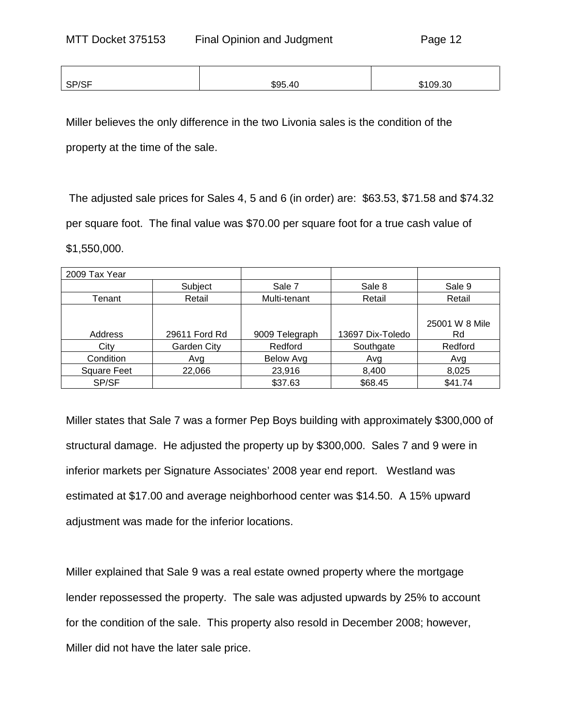| SP/SF | \$95.40 | റവ<br>$\Omega$<br>-51. |
|-------|---------|------------------------|
|       |         |                        |

Miller believes the only difference in the two Livonia sales is the condition of the property at the time of the sale.

The adjusted sale prices for Sales 4, 5 and 6 (in order) are: \$63.53, \$71.58 and \$74.32 per square foot. The final value was \$70.00 per square foot for a true cash value of \$1,550,000.

| 2009 Tax Year      |               |                |                  |                |
|--------------------|---------------|----------------|------------------|----------------|
|                    | Subject       | Sale 7         | Sale 8           | Sale 9         |
| Tenant             | Retail        | Multi-tenant   | Retail           | Retail         |
|                    |               |                |                  |                |
|                    |               |                |                  | 25001 W 8 Mile |
| Address            | 29611 Ford Rd | 9009 Telegraph | 13697 Dix-Toledo | Rd             |
| City               | Garden City   | Redford        | Southgate        | Redford        |
| Condition          | Avg           | Below Avg      | Avg              | Avg            |
| <b>Square Feet</b> | 22,066        | 23,916         | 8,400            | 8,025          |
| SP/SF              |               | \$37.63        | \$68.45          | \$41.74        |

Miller states that Sale 7 was a former Pep Boys building with approximately \$300,000 of structural damage. He adjusted the property up by \$300,000. Sales 7 and 9 were in inferior markets per Signature Associates' 2008 year end report. Westland was estimated at \$17.00 and average neighborhood center was \$14.50. A 15% upward adjustment was made for the inferior locations.

Miller explained that Sale 9 was a real estate owned property where the mortgage lender repossessed the property. The sale was adjusted upwards by 25% to account for the condition of the sale. This property also resold in December 2008; however, Miller did not have the later sale price.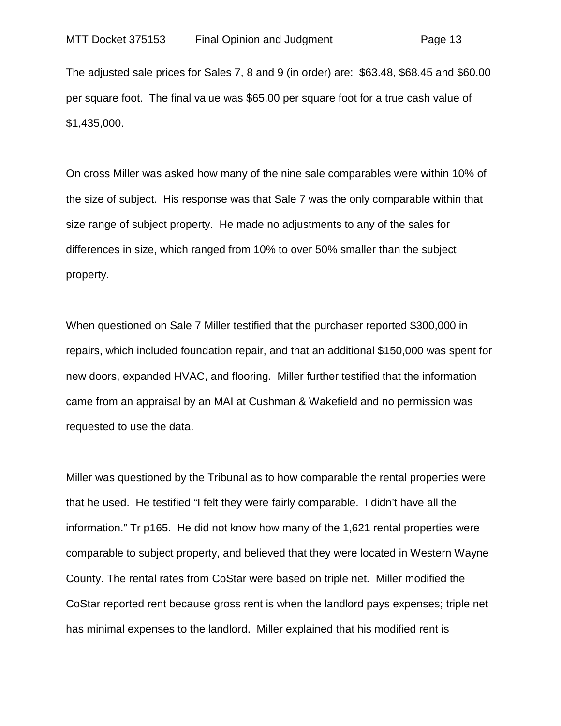The adjusted sale prices for Sales 7, 8 and 9 (in order) are: \$63.48, \$68.45 and \$60.00 per square foot. The final value was \$65.00 per square foot for a true cash value of \$1,435,000.

On cross Miller was asked how many of the nine sale comparables were within 10% of the size of subject. His response was that Sale 7 was the only comparable within that size range of subject property. He made no adjustments to any of the sales for differences in size, which ranged from 10% to over 50% smaller than the subject property.

When questioned on Sale 7 Miller testified that the purchaser reported \$300,000 in repairs, which included foundation repair, and that an additional \$150,000 was spent for new doors, expanded HVAC, and flooring. Miller further testified that the information came from an appraisal by an MAI at Cushman & Wakefield and no permission was requested to use the data.

Miller was questioned by the Tribunal as to how comparable the rental properties were that he used. He testified "I felt they were fairly comparable. I didn't have all the information." Tr p165. He did not know how many of the 1,621 rental properties were comparable to subject property, and believed that they were located in Western Wayne County. The rental rates from CoStar were based on triple net. Miller modified the CoStar reported rent because gross rent is when the landlord pays expenses; triple net has minimal expenses to the landlord. Miller explained that his modified rent is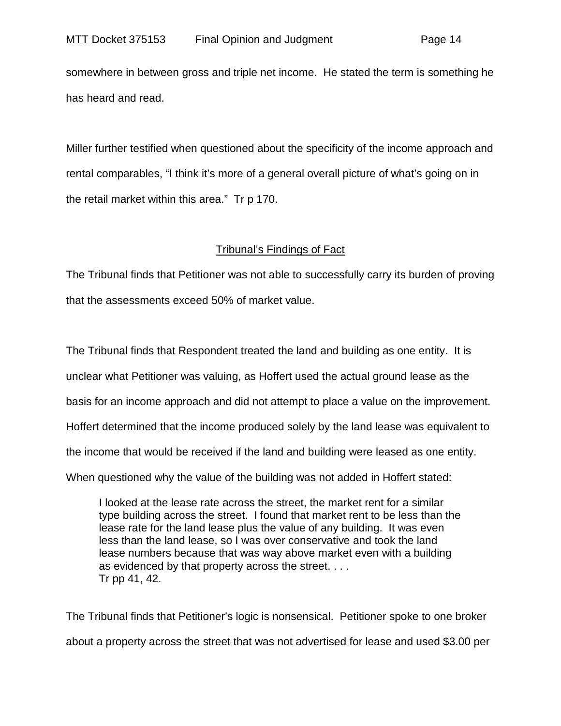somewhere in between gross and triple net income. He stated the term is something he has heard and read.

Miller further testified when questioned about the specificity of the income approach and rental comparables, "I think it's more of a general overall picture of what's going on in the retail market within this area." Tr p 170.

# Tribunal's Findings of Fact

The Tribunal finds that Petitioner was not able to successfully carry its burden of proving that the assessments exceed 50% of market value.

The Tribunal finds that Respondent treated the land and building as one entity. It is unclear what Petitioner was valuing, as Hoffert used the actual ground lease as the basis for an income approach and did not attempt to place a value on the improvement. Hoffert determined that the income produced solely by the land lease was equivalent to the income that would be received if the land and building were leased as one entity. When questioned why the value of the building was not added in Hoffert stated:

I looked at the lease rate across the street, the market rent for a similar type building across the street. I found that market rent to be less than the lease rate for the land lease plus the value of any building. It was even less than the land lease, so I was over conservative and took the land lease numbers because that was way above market even with a building as evidenced by that property across the street. . . . Tr pp 41, 42.

The Tribunal finds that Petitioner's logic is nonsensical. Petitioner spoke to one broker about a property across the street that was not advertised for lease and used \$3.00 per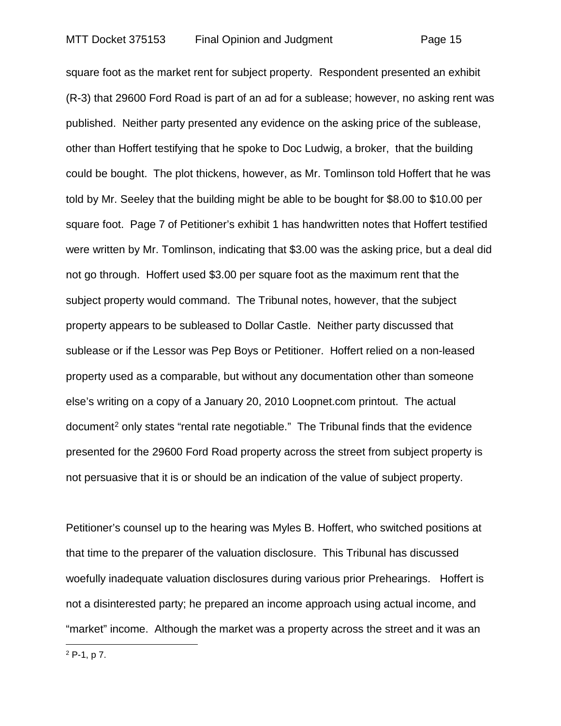square foot as the market rent for subject property. Respondent presented an exhibit (R-3) that 29600 Ford Road is part of an ad for a sublease; however, no asking rent was published. Neither party presented any evidence on the asking price of the sublease, other than Hoffert testifying that he spoke to Doc Ludwig, a broker, that the building could be bought. The plot thickens, however, as Mr. Tomlinson told Hoffert that he was told by Mr. Seeley that the building might be able to be bought for \$8.00 to \$10.00 per square foot. Page 7 of Petitioner's exhibit 1 has handwritten notes that Hoffert testified were written by Mr. Tomlinson, indicating that \$3.00 was the asking price, but a deal did not go through. Hoffert used \$3.00 per square foot as the maximum rent that the subject property would command. The Tribunal notes, however, that the subject property appears to be subleased to Dollar Castle. Neither party discussed that sublease or if the Lessor was Pep Boys or Petitioner. Hoffert relied on a non-leased property used as a comparable, but without any documentation other than someone else's writing on a copy of a January 20, 2010 Loopnet.com printout. The actual document<sup>[2](#page-14-0)</sup> only states "rental rate negotiable." The Tribunal finds that the evidence presented for the 29600 Ford Road property across the street from subject property is not persuasive that it is or should be an indication of the value of subject property.

Petitioner's counsel up to the hearing was Myles B. Hoffert, who switched positions at that time to the preparer of the valuation disclosure. This Tribunal has discussed woefully inadequate valuation disclosures during various prior Prehearings. Hoffert is not a disinterested party; he prepared an income approach using actual income, and "market" income. Although the market was a property across the street and it was an

<span id="page-14-0"></span><sup>2</sup> P-1, p 7.

 $\overline{a}$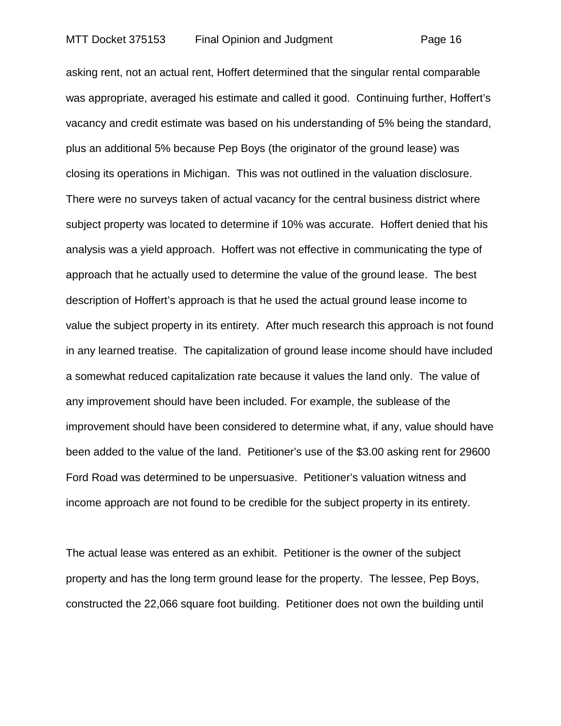asking rent, not an actual rent, Hoffert determined that the singular rental comparable was appropriate, averaged his estimate and called it good. Continuing further, Hoffert's vacancy and credit estimate was based on his understanding of 5% being the standard, plus an additional 5% because Pep Boys (the originator of the ground lease) was closing its operations in Michigan. This was not outlined in the valuation disclosure. There were no surveys taken of actual vacancy for the central business district where subject property was located to determine if 10% was accurate. Hoffert denied that his analysis was a yield approach. Hoffert was not effective in communicating the type of approach that he actually used to determine the value of the ground lease. The best description of Hoffert's approach is that he used the actual ground lease income to value the subject property in its entirety. After much research this approach is not found in any learned treatise. The capitalization of ground lease income should have included a somewhat reduced capitalization rate because it values the land only. The value of any improvement should have been included. For example, the sublease of the improvement should have been considered to determine what, if any, value should have been added to the value of the land. Petitioner's use of the \$3.00 asking rent for 29600 Ford Road was determined to be unpersuasive. Petitioner's valuation witness and income approach are not found to be credible for the subject property in its entirety.

The actual lease was entered as an exhibit. Petitioner is the owner of the subject property and has the long term ground lease for the property. The lessee, Pep Boys, constructed the 22,066 square foot building. Petitioner does not own the building until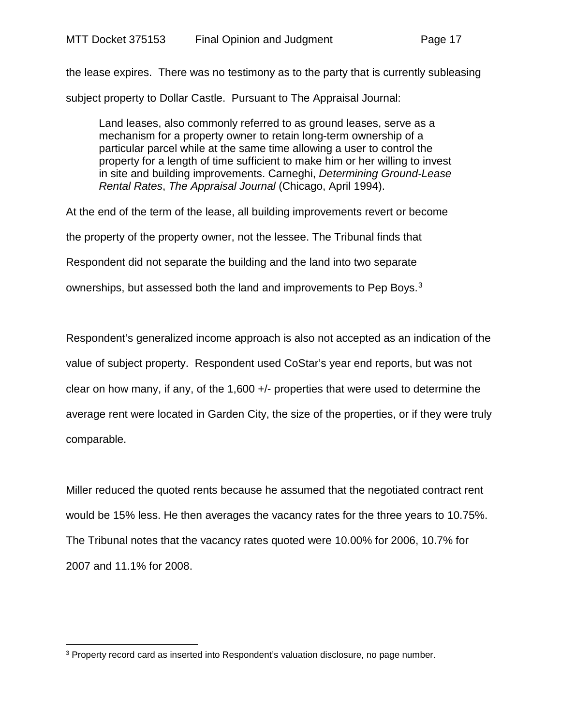the lease expires. There was no testimony as to the party that is currently subleasing

subject property to Dollar Castle. Pursuant to The Appraisal Journal:

Land leases, also commonly referred to as ground leases, serve as a mechanism for a property owner to retain long-term ownership of a particular parcel while at the same time allowing a user to control the property for a length of time sufficient to make him or her willing to invest in site and building improvements. Carneghi, *Determining Ground-Lease Rental Rates*, *The Appraisal Journal* (Chicago, April 1994).

At the end of the term of the lease, all building improvements revert or become

the property of the property owner, not the lessee. The Tribunal finds that

Respondent did not separate the building and the land into two separate

ownerships, but assessed both the land and improvements to Pep Boys.<sup>[3](#page-16-0)</sup>

Respondent's generalized income approach is also not accepted as an indication of the value of subject property. Respondent used CoStar's year end reports, but was not clear on how many, if any, of the 1,600 +/- properties that were used to determine the average rent were located in Garden City, the size of the properties, or if they were truly comparable.

Miller reduced the quoted rents because he assumed that the negotiated contract rent would be 15% less. He then averages the vacancy rates for the three years to 10.75%. The Tribunal notes that the vacancy rates quoted were 10.00% for 2006, 10.7% for 2007 and 11.1% for 2008.

<span id="page-16-0"></span> $\overline{a}$ <sup>3</sup> Property record card as inserted into Respondent's valuation disclosure, no page number.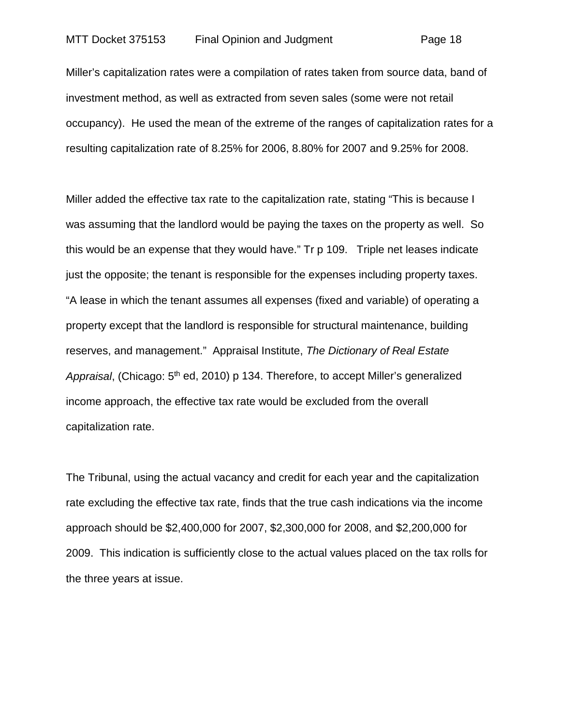Miller's capitalization rates were a compilation of rates taken from source data, band of investment method, as well as extracted from seven sales (some were not retail occupancy). He used the mean of the extreme of the ranges of capitalization rates for a resulting capitalization rate of 8.25% for 2006, 8.80% for 2007 and 9.25% for 2008.

Miller added the effective tax rate to the capitalization rate, stating "This is because I was assuming that the landlord would be paying the taxes on the property as well. So this would be an expense that they would have." Tr p 109. Triple net leases indicate just the opposite; the tenant is responsible for the expenses including property taxes. "A lease in which the tenant assumes all expenses (fixed and variable) of operating a property except that the landlord is responsible for structural maintenance, building reserves, and management." Appraisal Institute, *The Dictionary of Real Estate Appraisal*, (Chicago: 5th ed, 2010) p 134. Therefore, to accept Miller's generalized income approach, the effective tax rate would be excluded from the overall capitalization rate.

The Tribunal, using the actual vacancy and credit for each year and the capitalization rate excluding the effective tax rate, finds that the true cash indications via the income approach should be \$2,400,000 for 2007, \$2,300,000 for 2008, and \$2,200,000 for 2009. This indication is sufficiently close to the actual values placed on the tax rolls for the three years at issue.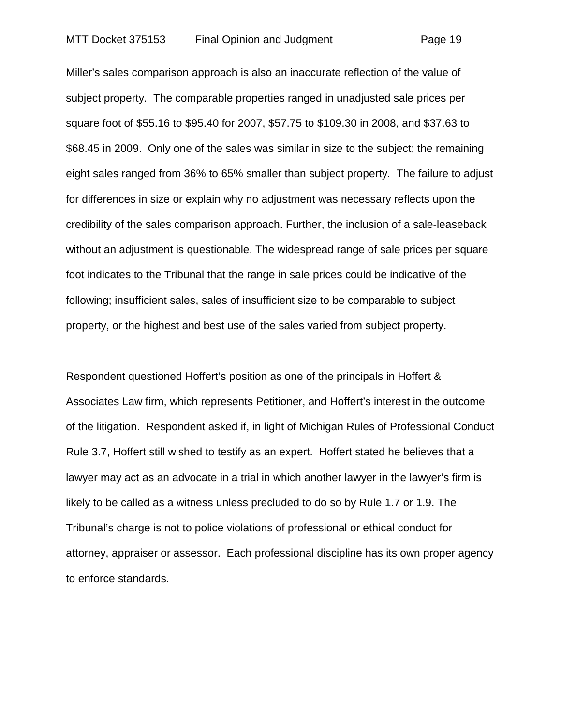Miller's sales comparison approach is also an inaccurate reflection of the value of subject property. The comparable properties ranged in unadjusted sale prices per square foot of \$55.16 to \$95.40 for 2007, \$57.75 to \$109.30 in 2008, and \$37.63 to \$68.45 in 2009. Only one of the sales was similar in size to the subject; the remaining eight sales ranged from 36% to 65% smaller than subject property. The failure to adjust for differences in size or explain why no adjustment was necessary reflects upon the credibility of the sales comparison approach. Further, the inclusion of a sale-leaseback without an adjustment is questionable. The widespread range of sale prices per square foot indicates to the Tribunal that the range in sale prices could be indicative of the following; insufficient sales, sales of insufficient size to be comparable to subject property, or the highest and best use of the sales varied from subject property.

Respondent questioned Hoffert's position as one of the principals in Hoffert & Associates Law firm, which represents Petitioner, and Hoffert's interest in the outcome of the litigation. Respondent asked if, in light of Michigan Rules of Professional Conduct Rule 3.7, Hoffert still wished to testify as an expert. Hoffert stated he believes that a lawyer may act as an advocate in a trial in which another lawyer in the lawyer's firm is likely to be called as a witness unless precluded to do so by Rule 1.7 or 1.9. The Tribunal's charge is not to police violations of professional or ethical conduct for attorney, appraiser or assessor. Each professional discipline has its own proper agency to enforce standards.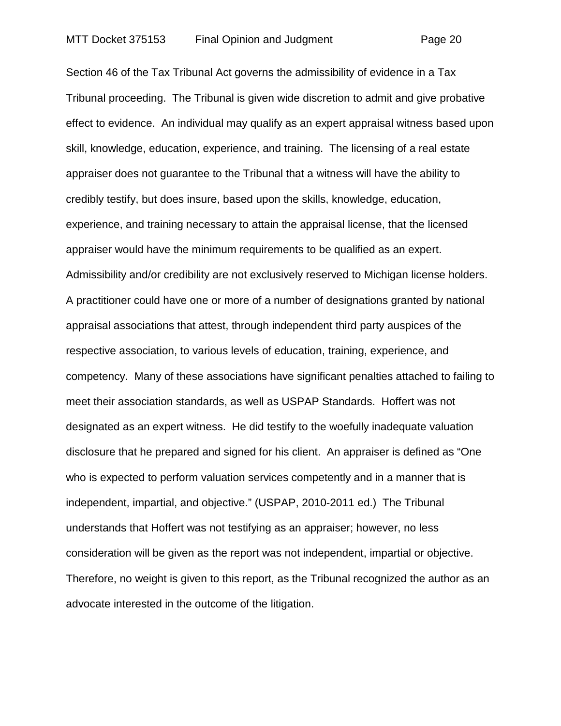Section 46 of the Tax Tribunal Act governs the admissibility of evidence in a Tax Tribunal proceeding. The Tribunal is given wide discretion to admit and give probative effect to evidence. An individual may qualify as an expert appraisal witness based upon skill, knowledge, education, experience, and training. The licensing of a real estate appraiser does not guarantee to the Tribunal that a witness will have the ability to credibly testify, but does insure, based upon the skills, knowledge, education, experience, and training necessary to attain the appraisal license, that the licensed appraiser would have the minimum requirements to be qualified as an expert. Admissibility and/or credibility are not exclusively reserved to Michigan license holders. A practitioner could have one or more of a number of designations granted by national appraisal associations that attest, through independent third party auspices of the respective association, to various levels of education, training, experience, and competency. Many of these associations have significant penalties attached to failing to meet their association standards, as well as USPAP Standards. Hoffert was not designated as an expert witness. He did testify to the woefully inadequate valuation disclosure that he prepared and signed for his client. An appraiser is defined as "One who is expected to perform valuation services competently and in a manner that is independent, impartial, and objective." (USPAP, 2010-2011 ed.) The Tribunal understands that Hoffert was not testifying as an appraiser; however, no less consideration will be given as the report was not independent, impartial or objective. Therefore, no weight is given to this report, as the Tribunal recognized the author as an advocate interested in the outcome of the litigation.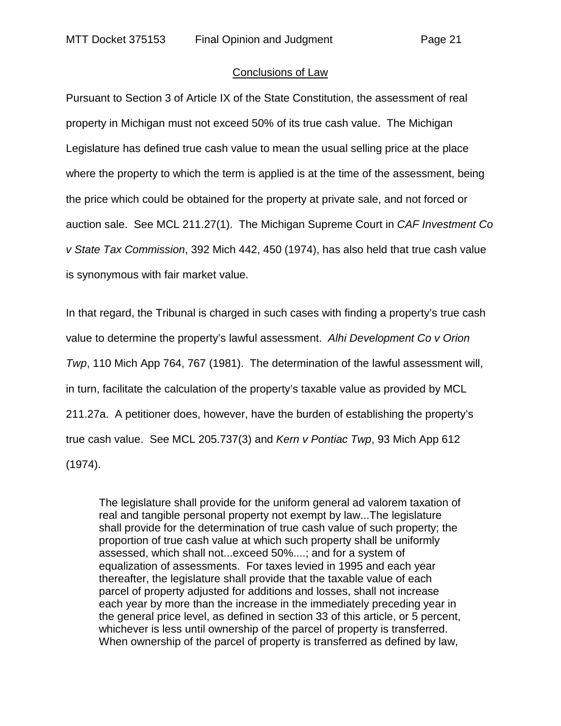#### Conclusions of Law

Pursuant to Section 3 of Article IX of the State Constitution, the assessment of real property in Michigan must not exceed 50% of its true cash value. The Michigan Legislature has defined true cash value to mean the usual selling price at the place where the property to which the term is applied is at the time of the assessment, being the price which could be obtained for the property at private sale, and not forced or auction sale. See MCL 211.27(1). The Michigan Supreme Court in *CAF Investment Co v State Tax Commission*, 392 Mich 442, 450 (1974), has also held that true cash value is synonymous with fair market value.

In that regard, the Tribunal is charged in such cases with finding a property's true cash value to determine the property's lawful assessment. *Alhi Development Co v Orion Twp*, 110 Mich App 764, 767 (1981). The determination of the lawful assessment will, in turn, facilitate the calculation of the property's taxable value as provided by MCL 211.27a. A petitioner does, however, have the burden of establishing the property's true cash value. See MCL 205.737(3) and *Kern v Pontiac Twp*, 93 Mich App 612 (1974).

The legislature shall provide for the uniform general ad valorem taxation of real and tangible personal property not exempt by law...The legislature shall provide for the determination of true cash value of such property; the proportion of true cash value at which such property shall be uniformly assessed, which shall not...exceed 50%....; and for a system of equalization of assessments. For taxes levied in 1995 and each year thereafter, the legislature shall provide that the taxable value of each parcel of property adjusted for additions and losses, shall not increase each year by more than the increase in the immediately preceding year in the general price level, as defined in section 33 of this article, or 5 percent, whichever is less until ownership of the parcel of property is transferred. When ownership of the parcel of property is transferred as defined by law,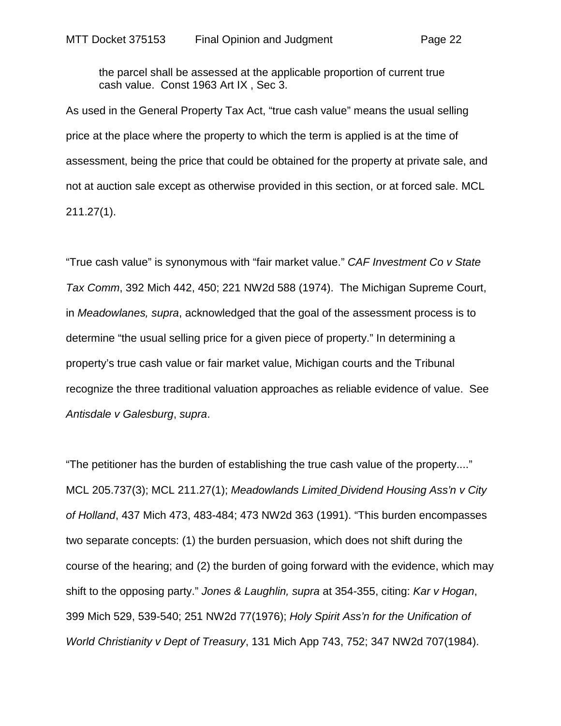the parcel shall be assessed at the applicable proportion of current true cash value. Const 1963 Art IX , Sec 3.

As used in the General Property Tax Act, "true cash value" means the usual selling price at the place where the property to which the term is applied is at the time of assessment, being the price that could be obtained for the property at private sale, and not at auction sale except as otherwise provided in this section, or at forced sale. MCL 211.27(1).

"True cash value" is synonymous with "fair market value." *CAF Investment Co v State Tax Comm*, 392 Mich 442, 450; 221 NW2d 588 (1974). The Michigan Supreme Court, in *Meadowlanes, supra*, acknowledged that the goal of the assessment process is to determine "the usual selling price for a given piece of property." In determining a property's true cash value or fair market value, Michigan courts and the Tribunal recognize the three traditional valuation approaches as reliable evidence of value. See *Antisdale v Galesburg*, *supra*.

"The petitioner has the burden of establishing the true cash value of the property...." MCL 205.737(3); MCL 211.27(1); *Meadowlands Limited Dividend Housing Ass'n v City of Holland*, 437 Mich 473, 483-484; 473 NW2d 363 (1991). "This burden encompasses two separate concepts: (1) the burden persuasion, which does not shift during the course of the hearing; and (2) the burden of going forward with the evidence, which may shift to the opposing party." *Jones & Laughlin, supra* at 354-355, citing: *Kar v Hogan*, 399 Mich 529, 539-540; 251 NW2d 77(1976); *Holy Spirit Ass'n for the Unification of World Christianity v Dept of Treasury*, 131 Mich App 743, 752; 347 NW2d 707(1984).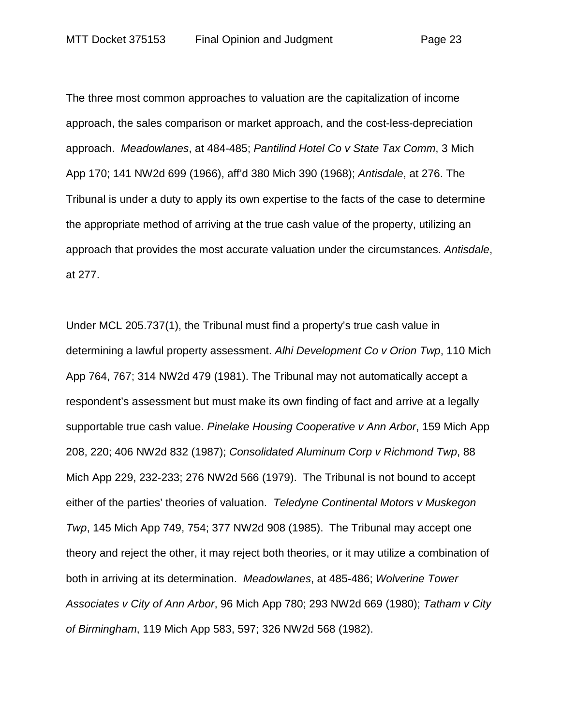The three most common approaches to valuation are the capitalization of income approach, the sales comparison or market approach, and the cost-less-depreciation approach. *Meadowlanes*, at 484-485; *Pantilind Hotel Co v State Tax Comm*, 3 Mich App 170; 141 NW2d 699 (1966), aff'd 380 Mich 390 (1968); *Antisdale*, at 276. The Tribunal is under a duty to apply its own expertise to the facts of the case to determine the appropriate method of arriving at the true cash value of the property, utilizing an approach that provides the most accurate valuation under the circumstances. *Antisdale*, at 277.

Under MCL 205.737(1), the Tribunal must find a property's true cash value in determining a lawful property assessment. *Alhi Development Co v Orion Twp*, 110 Mich App 764, 767; 314 NW2d 479 (1981). The Tribunal may not automatically accept a respondent's assessment but must make its own finding of fact and arrive at a legally supportable true cash value. *Pinelake Housing Cooperative v Ann Arbor*, 159 Mich App 208, 220; 406 NW2d 832 (1987); *Consolidated Aluminum Corp v Richmond Twp*, 88 Mich App 229, 232-233; 276 NW2d 566 (1979). The Tribunal is not bound to accept either of the parties' theories of valuation. *Teledyne Continental Motors v Muskegon Twp*, 145 Mich App 749, 754; 377 NW2d 908 (1985). The Tribunal may accept one theory and reject the other, it may reject both theories, or it may utilize a combination of both in arriving at its determination. *Meadowlanes*, at 485-486; *Wolverine Tower Associates v City of Ann Arbor*, 96 Mich App 780; 293 NW2d 669 (1980); *Tatham v City of Birmingham*, 119 Mich App 583, 597; 326 NW2d 568 (1982).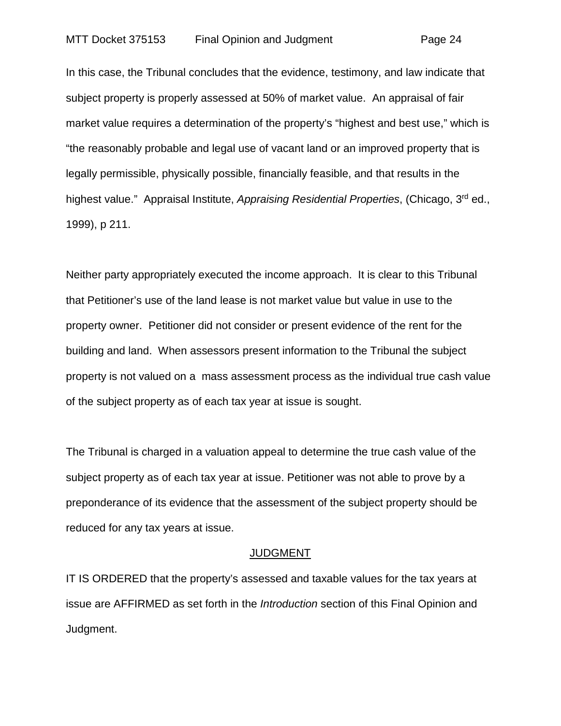In this case, the Tribunal concludes that the evidence, testimony, and law indicate that subject property is properly assessed at 50% of market value. An appraisal of fair market value requires a determination of the property's "highest and best use," which is "the reasonably probable and legal use of vacant land or an improved property that is legally permissible, physically possible, financially feasible, and that results in the highest value." Appraisal Institute, *Appraising Residential Properties*, (Chicago, 3<sup>rd</sup> ed., 1999), p 211.

Neither party appropriately executed the income approach. It is clear to this Tribunal that Petitioner's use of the land lease is not market value but value in use to the property owner. Petitioner did not consider or present evidence of the rent for the building and land. When assessors present information to the Tribunal the subject property is not valued on a mass assessment process as the individual true cash value of the subject property as of each tax year at issue is sought.

The Tribunal is charged in a valuation appeal to determine the true cash value of the subject property as of each tax year at issue. Petitioner was not able to prove by a preponderance of its evidence that the assessment of the subject property should be reduced for any tax years at issue.

#### JUDGMENT

IT IS ORDERED that the property's assessed and taxable values for the tax years at issue are AFFIRMED as set forth in the *Introduction* section of this Final Opinion and Judgment.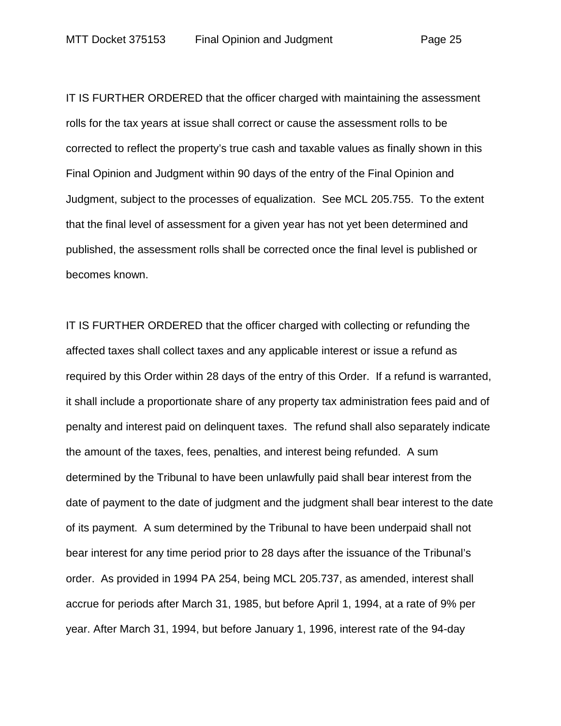IT IS FURTHER ORDERED that the officer charged with maintaining the assessment rolls for the tax years at issue shall correct or cause the assessment rolls to be corrected to reflect the property's true cash and taxable values as finally shown in this Final Opinion and Judgment within 90 days of the entry of the Final Opinion and Judgment, subject to the processes of equalization. See MCL 205.755. To the extent that the final level of assessment for a given year has not yet been determined and published, the assessment rolls shall be corrected once the final level is published or becomes known.

IT IS FURTHER ORDERED that the officer charged with collecting or refunding the affected taxes shall collect taxes and any applicable interest or issue a refund as required by this Order within 28 days of the entry of this Order. If a refund is warranted, it shall include a proportionate share of any property tax administration fees paid and of penalty and interest paid on delinquent taxes. The refund shall also separately indicate the amount of the taxes, fees, penalties, and interest being refunded. A sum determined by the Tribunal to have been unlawfully paid shall bear interest from the date of payment to the date of judgment and the judgment shall bear interest to the date of its payment. A sum determined by the Tribunal to have been underpaid shall not bear interest for any time period prior to 28 days after the issuance of the Tribunal's order. As provided in 1994 PA 254, being MCL 205.737, as amended, interest shall accrue for periods after March 31, 1985, but before April 1, 1994, at a rate of 9% per year. After March 31, 1994, but before January 1, 1996, interest rate of the 94-day